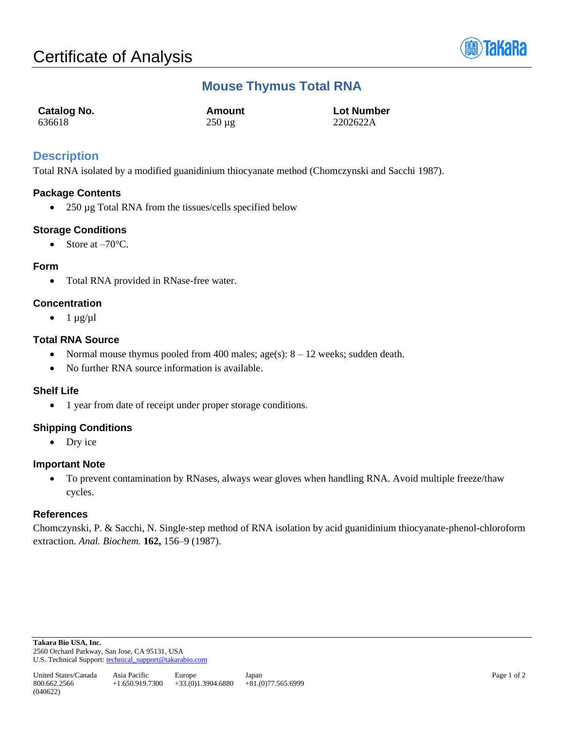

# **Mouse Thymus Total RNA**

| Catalog No. | Amount      | <b>Lot Number</b> |
|-------------|-------------|-------------------|
| 636618      | $250 \mu g$ | 2202622A          |

## **Description**

Total RNA isolated by a modified guanidinium thiocyanate method (Chomczynski and Sacchi 1987).

## **Package Contents**

• 250 µg Total RNA from the tissues/cells specified below

## **Storage Conditions**

• Store at  $-70^{\circ}$ C.

#### **Form**

• Total RNA provided in RNase-free water.

## **Concentration**

 $\bullet$  1  $\mu$ g/ $\mu$ l

## **Total RNA Source**

- Normal mouse thymus pooled from 400 males;  $age(s): 8 12$  weeks; sudden death.
- No further RNA source information is available.

#### **Shelf Life**

• 1 year from date of receipt under proper storage conditions.

## **Shipping Conditions**

• Dry ice

#### **Important Note**

• To prevent contamination by RNases, always wear gloves when handling RNA. Avoid multiple freeze/thaw cycles.

#### **References**

Chomczynski, P. & Sacchi, N. Single-step method of RNA isolation by acid guanidinium thiocyanate-phenol-chloroform extraction. *Anal. Biochem.* **162,** 156–9 (1987).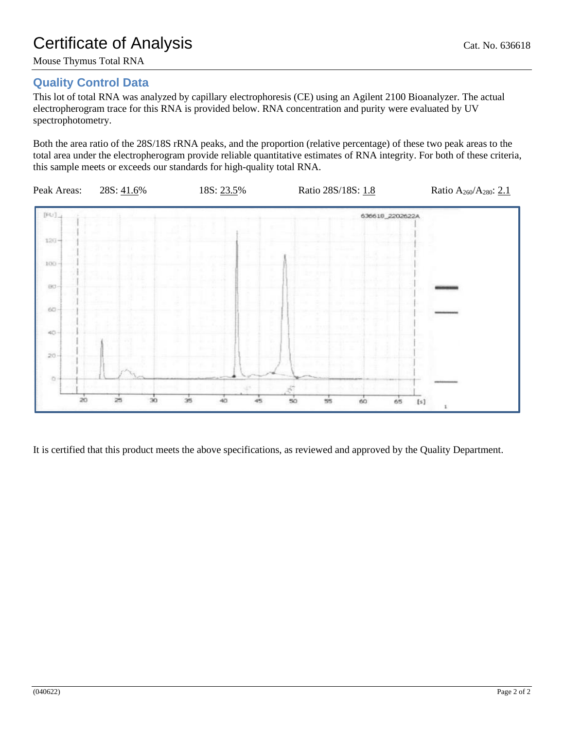## **Quality Control Data**

This lot of total RNA was analyzed by capillary electrophoresis (CE) using an Agilent 2100 Bioanalyzer. The actual electropherogram trace for this RNA is provided below. RNA concentration and purity were evaluated by UV spectrophotometry.

Both the area ratio of the 28S/18S rRNA peaks, and the proportion (relative percentage) of these two peak areas to the total area under the electropherogram provide reliable quantitative estimates of RNA integrity. For both of these criteria, this sample meets or exceeds our standards for high-quality total RNA.



It is certified that this product meets the above specifications, as reviewed and approved by the Quality Department.